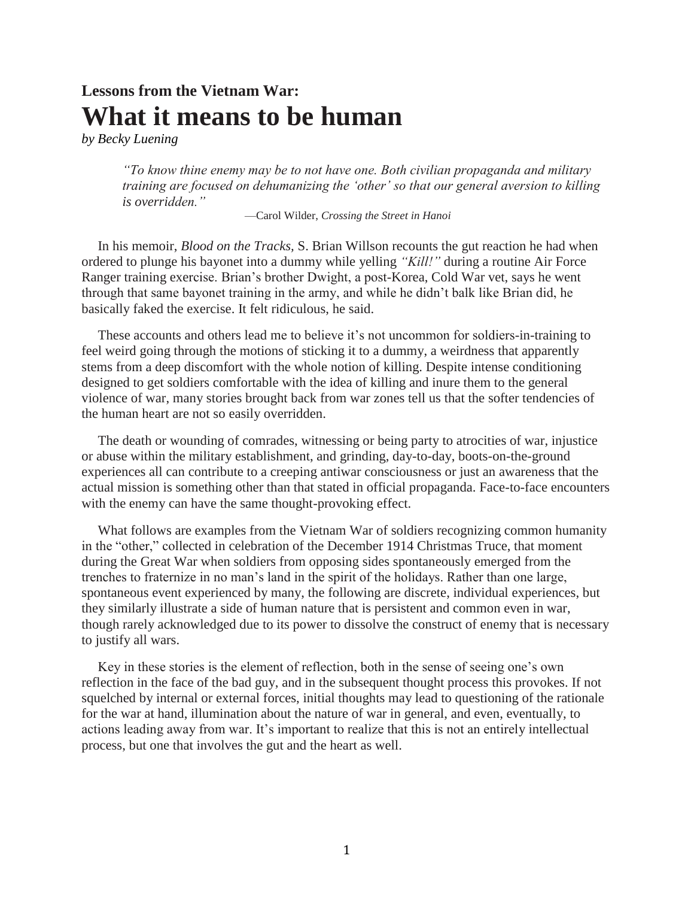# **Lessons from the Vietnam War: What it means to be human**

*by Becky Luening*

*"To know thine enemy may be to not have one. Both civilian propaganda and military training are focused on dehumanizing the 'other' so that our general aversion to killing is overridden."* 

—Carol Wilder, *Crossing the Street in Hanoi* 

In his memoir, *Blood on the Tracks,* S. Brian Willson recounts the gut reaction he had when ordered to plunge his bayonet into a dummy while yelling *"Kill!"* during a routine Air Force Ranger training exercise. Brian's brother Dwight, a post-Korea, Cold War vet, says he went through that same bayonet training in the army, and while he didn't balk like Brian did, he basically faked the exercise. It felt ridiculous, he said.

These accounts and others lead me to believe it's not uncommon for soldiers-in-training to feel weird going through the motions of sticking it to a dummy, a weirdness that apparently stems from a deep discomfort with the whole notion of killing. Despite intense conditioning designed to get soldiers comfortable with the idea of killing and inure them to the general violence of war, many stories brought back from war zones tell us that the softer tendencies of the human heart are not so easily overridden.

The death or wounding of comrades, witnessing or being party to atrocities of war, injustice or abuse within the military establishment, and grinding, day-to-day, boots-on-the-ground experiences all can contribute to a creeping antiwar consciousness or just an awareness that the actual mission is something other than that stated in official propaganda. Face-to-face encounters with the enemy can have the same thought-provoking effect.

What follows are examples from the Vietnam War of soldiers recognizing common humanity in the "other," collected in celebration of the December 1914 Christmas Truce, that moment during the Great War when soldiers from opposing sides spontaneously emerged from the trenches to fraternize in no man's land in the spirit of the holidays. Rather than one large, spontaneous event experienced by many, the following are discrete, individual experiences, but they similarly illustrate a side of human nature that is persistent and common even in war, though rarely acknowledged due to its power to dissolve the construct of enemy that is necessary to justify all wars.

Key in these stories is the element of reflection, both in the sense of seeing one's own reflection in the face of the bad guy, and in the subsequent thought process this provokes. If not squelched by internal or external forces, initial thoughts may lead to questioning of the rationale for the war at hand, illumination about the nature of war in general, and even, eventually, to actions leading away from war. It's important to realize that this is not an entirely intellectual process, but one that involves the gut and the heart as well.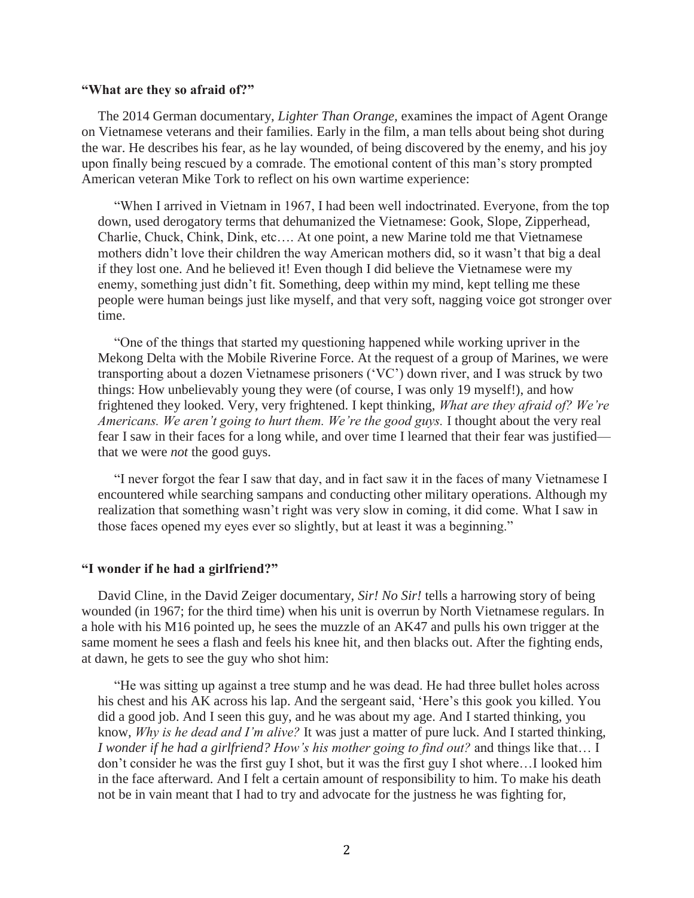## **"What are they so afraid of?"**

The 2014 German documentary, *Lighter Than Orange,* examines the impact of Agent Orange on Vietnamese veterans and their families. Early in the film, a man tells about being shot during the war. He describes his fear, as he lay wounded, of being discovered by the enemy, and his joy upon finally being rescued by a comrade. The emotional content of this man's story prompted American veteran Mike Tork to reflect on his own wartime experience:

"When I arrived in Vietnam in 1967, I had been well indoctrinated. Everyone, from the top down, used derogatory terms that dehumanized the Vietnamese: Gook, Slope, Zipperhead, Charlie, Chuck, Chink, Dink, etc…. At one point, a new Marine told me that Vietnamese mothers didn't love their children the way American mothers did, so it wasn't that big a deal if they lost one. And he believed it! Even though I did believe the Vietnamese were my enemy, something just didn't fit. Something, deep within my mind, kept telling me these people were human beings just like myself, and that very soft, nagging voice got stronger over time.

"One of the things that started my questioning happened while working upriver in the Mekong Delta with the Mobile Riverine Force. At the request of a group of Marines, we were transporting about a dozen Vietnamese prisoners ('VC') down river, and I was struck by two things: How unbelievably young they were (of course, I was only 19 myself!), and how frightened they looked. Very, very frightened. I kept thinking, *What are they afraid of? We're Americans. We aren't going to hurt them. We're the good guys.* I thought about the very real fear I saw in their faces for a long while, and over time I learned that their fear was justified that we were *not* the good guys.

"I never forgot the fear I saw that day, and in fact saw it in the faces of many Vietnamese I encountered while searching sampans and conducting other military operations. Although my realization that something wasn't right was very slow in coming, it did come. What I saw in those faces opened my eyes ever so slightly, but at least it was a beginning."

## **"I wonder if he had a girlfriend?"**

David Cline, in the David Zeiger documentary, *Sir! No Sir!* tells a harrowing story of being wounded (in 1967; for the third time) when his unit is overrun by North Vietnamese regulars. In a hole with his M16 pointed up, he sees the muzzle of an AK47 and pulls his own trigger at the same moment he sees a flash and feels his knee hit, and then blacks out. After the fighting ends, at dawn, he gets to see the guy who shot him:

"He was sitting up against a tree stump and he was dead. He had three bullet holes across his chest and his AK across his lap. And the sergeant said, 'Here's this gook you killed. You did a good job. And I seen this guy, and he was about my age. And I started thinking, you know, *Why is he dead and I'm alive?* It was just a matter of pure luck. And I started thinking, *I wonder if he had a girlfriend? How's his mother going to find out?* and things like that… I don't consider he was the first guy I shot, but it was the first guy I shot where…I looked him in the face afterward. And I felt a certain amount of responsibility to him. To make his death not be in vain meant that I had to try and advocate for the justness he was fighting for,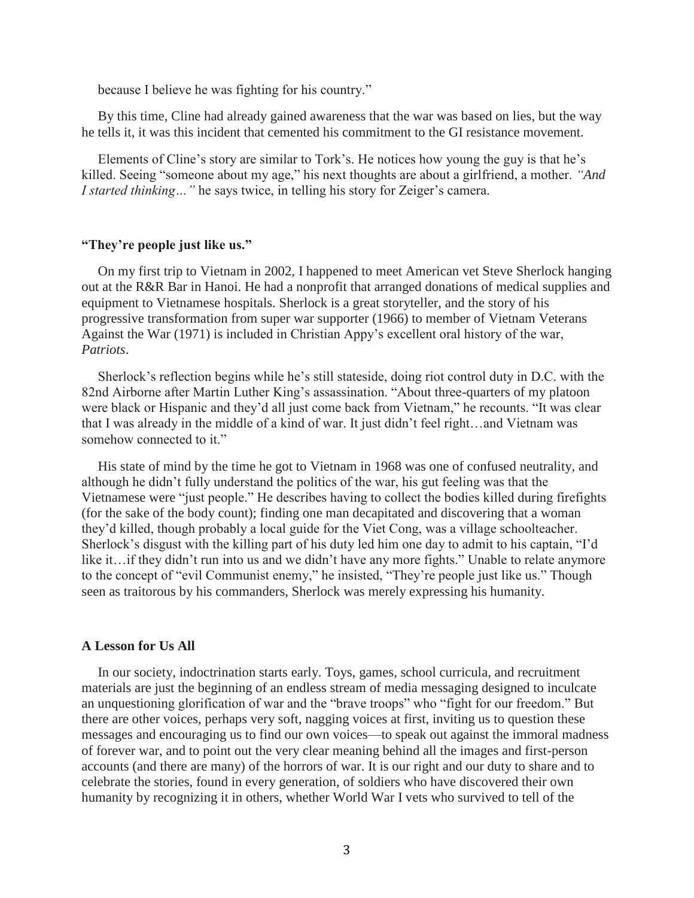because I believe he was fighting for his country."

By this time, Cline had already gained awareness that the war was based on lies, but the way he tells it, it was this incident that cemented his commitment to the GI resistance movement.

Elements of Cline's story are similar to Tork's. He notices how young the guy is that he's killed. Seeing "someone about my age," his next thoughts are about a girlfriend, a mother. *"And I started thinking…"* he says twice, in telling his story for Zeiger's camera.

# **"They're people just like us."**

On my first trip to Vietnam in 2002, I happened to meet American vet Steve Sherlock hanging out at the R&R Bar in Hanoi. He had a nonprofit that arranged donations of medical supplies and equipment to Vietnamese hospitals. Sherlock is a great storyteller, and the story of his progressive transformation from super war supporter (1966) to member of Vietnam Veterans Against the War (1971) is included in Christian Appy's excellent oral history of the war, *Patriots*.

Sherlock's reflection begins while he's still stateside, doing riot control duty in D.C. with the 82nd Airborne after Martin Luther King's assassination. "About three-quarters of my platoon were black or Hispanic and they'd all just come back from Vietnam," he recounts. "It was clear that I was already in the middle of a kind of war. It just didn't feel right…and Vietnam was somehow connected to it."

His state of mind by the time he got to Vietnam in 1968 was one of confused neutrality, and although he didn't fully understand the politics of the war, his gut feeling was that the Vietnamese were "just people." He describes having to collect the bodies killed during firefights (for the sake of the body count); finding one man decapitated and discovering that a woman they'd killed, though probably a local guide for the Viet Cong, was a village schoolteacher. Sherlock's disgust with the killing part of his duty led him one day to admit to his captain, "I'd like it…if they didn't run into us and we didn't have any more fights." Unable to relate anymore to the concept of "evil Communist enemy," he insisted, "They're people just like us." Though seen as traitorous by his commanders, Sherlock was merely expressing his humanity.

# **A Lesson for Us All**

In our society, indoctrination starts early. Toys, games, school curricula, and recruitment materials are just the beginning of an endless stream of media messaging designed to inculcate an unquestioning glorification of war and the "brave troops" who "fight for our freedom." But there are other voices, perhaps very soft, nagging voices at first, inviting us to question these messages and encouraging us to find our own voices—to speak out against the immoral madness of forever war, and to point out the very clear meaning behind all the images and first-person accounts (and there are many) of the horrors of war. It is our right and our duty to share and to celebrate the stories, found in every generation, of soldiers who have discovered their own humanity by recognizing it in others, whether World War I vets who survived to tell of the